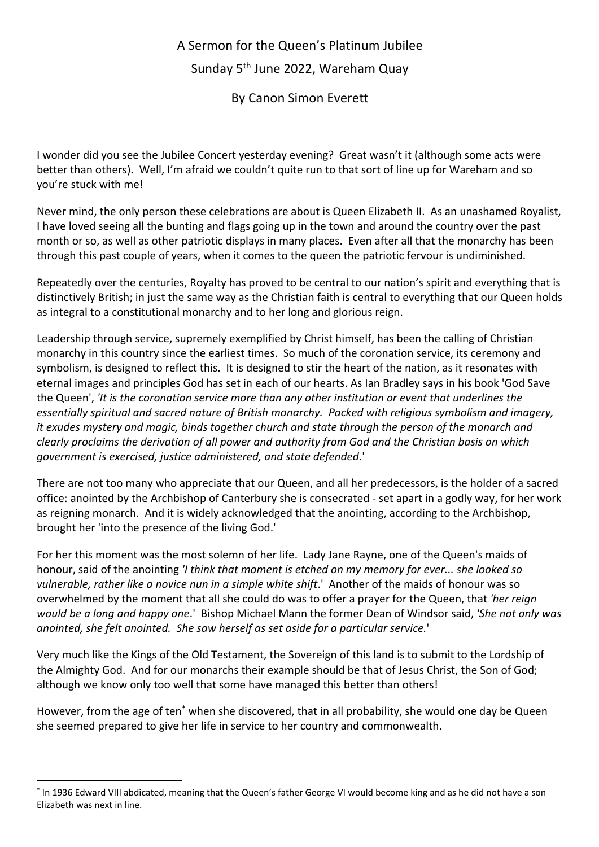## A Sermon for the Queen's Platinum Jubilee Sunday 5th June 2022, Wareham Quay

By Canon Simon Everett

I wonder did you see the Jubilee Concert yesterday evening? Great wasn't it (although some acts were better than others). Well, I'm afraid we couldn't quite run to that sort of line up for Wareham and so you're stuck with me!

Never mind, the only person these celebrations are about is Queen Elizabeth II. As an unashamed Royalist, I have loved seeing all the bunting and flags going up in the town and around the country over the past month or so, as well as other patriotic displays in many places. Even after all that the monarchy has been through this past couple of years, when it comes to the queen the patriotic fervour is undiminished.

Repeatedly over the centuries, Royalty has proved to be central to our nation's spirit and everything that is distinctively British; in just the same way as the Christian faith is central to everything that our Queen holds as integral to a constitutional monarchy and to her long and glorious reign.

Leadership through service, supremely exemplified by Christ himself, has been the calling of Christian monarchy in this country since the earliest times. So much of the coronation service, its ceremony and symbolism, is designed to reflect this. It is designed to stir the heart of the nation, as it resonates with eternal images and principles God has set in each of our hearts. As Ian Bradley says in his book 'God Save the Queen', *'It is the coronation service more than any other institution or event that underlines the essentially spiritual and sacred nature of British monarchy. Packed with religious symbolism and imagery, it exudes mystery and magic, binds together church and state through the person of the monarch and clearly proclaims the derivation of all power and authority from God and the Christian basis on which government is exercised, justice administered, and state defended*.'

There are not too many who appreciate that our Queen, and all her predecessors, is the holder of a sacred office: anointed by the Archbishop of Canterbury she is consecrated - set apart in a godly way, for her work as reigning monarch. And it is widely acknowledged that the anointing, according to the Archbishop, brought her 'into the presence of the living God.'

For her this moment was the most solemn of her life. Lady Jane Rayne, one of the Queen's maids of honour, said of the anointing *'I think that moment is etched on my memory for ever... she looked so vulnerable, rather like a novice nun in a simple white shift*.' Another of the maids of honour was so overwhelmed by the moment that all she could do was to offer a prayer for the Queen, that *'her reign would be a long and happy one*.' Bishop Michael Mann the former Dean of Windsor said, *'She not only was anointed, she felt anointed. She saw herself as set aside for a particular service.*'

Very much like the Kings of the Old Testament, the Sovereign of this land is to submit to the Lordship of the Almighty God. And for our monarchs their example should be that of Jesus Christ, the Son of God; although we know only too well that some have managed this better than others!

However, from the age of ten\* when she discovered, that in all probability, she would one day be Queen she seemed prepared to give her life in service to her country and commonwealth.

<sup>\*</sup> In 1936 Edward VIII abdicated, meaning that the Queen's father George VI would become king and as he did not have a son Elizabeth was next in line.